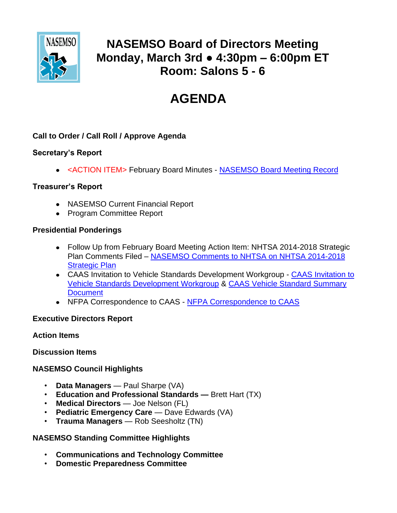

# **NASEMSO Board of Directors Meeting Monday, March 3rd ● 4:30pm – 6:00pm ET Room: Salons 5 - 6**

# **AGENDA**

#### **Call to Order / Call Roll / Approve Agenda**

#### **Secretary's Report**

<ACTION ITEM> February Board Minutes - [NASEMSO Board Meeting Record](https://www.nasemso.org/Members/Board/documents/NASEMSO-Board-Minutes-13Feb2014.pdf)

#### **Treasurer's Report**

- NASEMSO Current Financial Report
- Program Committee Report

#### **Presidential Ponderings**

- Follow Up from February Board Meeting Action Item: NHTSA 2014-2018 Strategic Plan Comments Filed – [NASEMSO Comments to NHTSA on NHTSA 2014-2018](https://www.nasemso.org/Members/Board/documents/NHTSA-2014-2018-Strategic-Plan-Docket-2014-0014-NASEMSO-Comments.pdf)  [Strategic Plan](https://www.nasemso.org/Members/Board/documents/NHTSA-2014-2018-Strategic-Plan-Docket-2014-0014-NASEMSO-Comments.pdf)
- CAAS Invitation to Vehicle Standards Development Workgroup [CAAS Invitation to](https://www.nasemso.org/Members/Board/documents/CAAS-Invitation-to-NASEMSO.pdf)  [Vehicle Standards Development Workgroup](https://www.nasemso.org/Members/Board/documents/CAAS-Invitation-to-NASEMSO.pdf) & [CAAS Vehicle Standard Summary](https://www.nasemso.org/Members/Board/documents/CAAS-Vehicle-Standards-Summary-Document.pdf)  **[Document](https://www.nasemso.org/Members/Board/documents/CAAS-Vehicle-Standards-Summary-Document.pdf)**
- [NFPA Correspondence](https://www.nasemso.org/Members/Board/documents/NFPA-Correspondence-to-CAAS-Feb2014.pdf) to CAAS NFPA Correspondence to CAAS

#### **Executive Directors Report**

#### **Action Items**

#### **Discussion Items**

## **NASEMSO Council Highlights**

- **Data Managers**  Paul Sharpe (VA)
- **Education and Professional Standards —** Brett Hart (TX)
- **Medical Directors** Joe Nelson (FL)
- **Pediatric Emergency Care** Dave Edwards (VA)
- **Trauma Managers** Rob Seesholtz (TN)

## **NASEMSO Standing Committee Highlights**

- **Communications and Technology Committee**
- **Domestic Preparedness Committee**